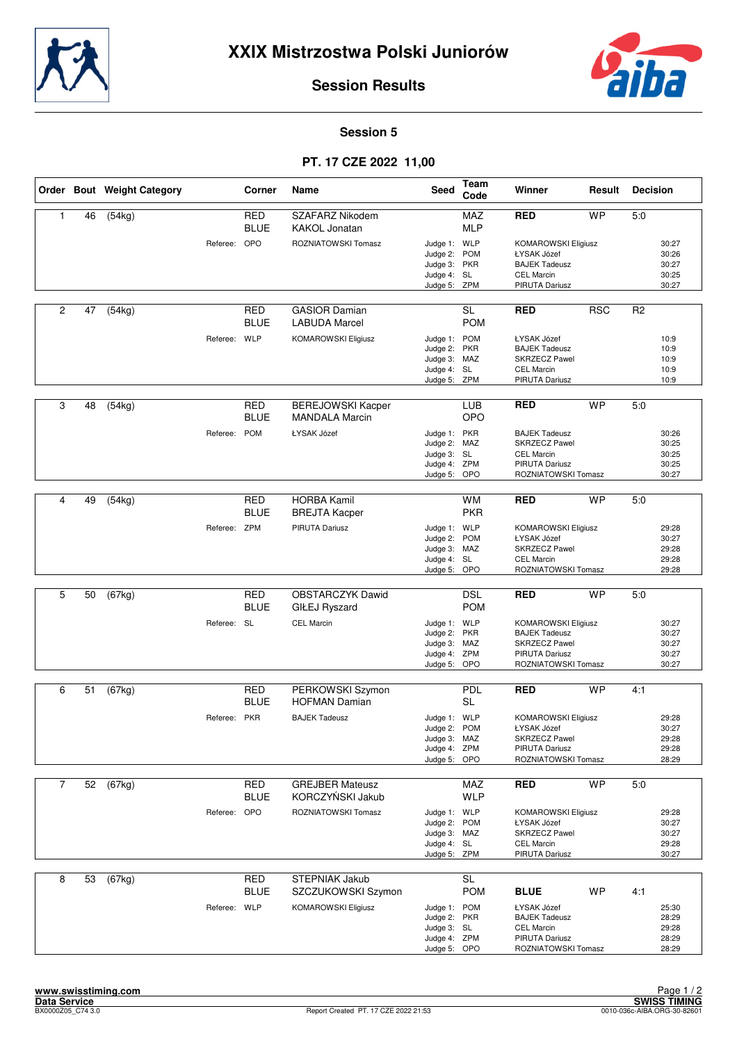



#### **Session 5**

## **PT. 17 CZE 2022 11,00**

|                |    | Order Bout Weight Category |              | Corner                    | Name                                              | Seed                                                                        | Team<br>Code             | Winner                                                                                                        | Result     | <b>Decision</b> |                                           |
|----------------|----|----------------------------|--------------|---------------------------|---------------------------------------------------|-----------------------------------------------------------------------------|--------------------------|---------------------------------------------------------------------------------------------------------------|------------|-----------------|-------------------------------------------|
| 1              | 46 | (54kg)                     |              | <b>RED</b><br><b>BLUE</b> | SZAFARZ Nikodem<br><b>KAKOL Jonatan</b>           |                                                                             | MAZ<br><b>MLP</b>        | <b>RED</b>                                                                                                    | <b>WP</b>  | 5.0             |                                           |
|                |    |                            | Referee: OPO |                           | ROZNIATOWSKI Tomasz                               | Judge 1: WLP<br>Judge 2: POM<br>Judge 3: PKR<br>Judge 4: SL<br>Judge 5: ZPM |                          | <b>KOMAROWSKI Eligiusz</b><br>ŁYSAK Józef<br><b>BAJEK Tadeusz</b><br><b>CEL Marcin</b><br>PIRUTA Dariusz      |            |                 | 30:27<br>30:26<br>30:27<br>30:25<br>30:27 |
| 2              | 47 | (54kg)                     |              | <b>RED</b><br><b>BLUE</b> | <b>GASIOR Damian</b><br><b>LABUDA Marcel</b>      |                                                                             | <b>SL</b><br><b>POM</b>  | <b>RED</b>                                                                                                    | <b>RSC</b> | R <sub>2</sub>  |                                           |
|                |    |                            | Referee: WLP |                           | <b>KOMAROWSKI Eligiusz</b>                        | Judge 1: POM<br>Judge 2: PKR<br>Judge 3: MAZ<br>Judge 4: SL<br>Judge 5: ZPM |                          | ŁYSAK Józef<br><b>BAJEK Tadeusz</b><br><b>SKRZECZ Pawel</b><br><b>CEL Marcin</b><br>PIRUTA Dariusz            |            |                 | 10:9<br>10:9<br>10:9<br>10:9<br>10:9      |
| 3              | 48 | (54kg)                     |              | RED<br><b>BLUE</b>        | <b>BEREJOWSKI Kacper</b><br><b>MANDALA Marcin</b> |                                                                             | <b>LUB</b><br>OPO        | <b>RED</b>                                                                                                    | <b>WP</b>  | 5:0             |                                           |
|                |    |                            | Referee:     | <b>POM</b>                | ŁYSAK Józef                                       | Judge 1: PKR<br>Judge 2: MAZ<br>Judge 3: SL<br>Judge 4: ZPM<br>Judge 5: OPO |                          | <b>BAJEK Tadeusz</b><br><b>SKRZECZ Pawel</b><br><b>CEL Marcin</b><br>PIRUTA Dariusz<br>ROZNIATOWSKI Tomasz    |            |                 | 30:26<br>30:25<br>30:25<br>30:25<br>30:27 |
|                |    |                            |              |                           |                                                   |                                                                             |                          |                                                                                                               |            |                 |                                           |
| 4              | 49 | (54kg)                     |              | <b>RED</b><br><b>BLUE</b> | <b>HORBA Kamil</b><br><b>BREJTA Kacper</b>        |                                                                             | <b>WM</b><br><b>PKR</b>  | <b>RED</b>                                                                                                    | <b>WP</b>  | 5:0             |                                           |
|                |    |                            | Referee: ZPM |                           | PIRUTA Dariusz                                    | Judge 1: WLP<br>Judge 2:<br>Judge 3: MAZ<br>Judge 4: SL<br>Judge 5:         | <b>POM</b><br>OPO        | <b>KOMAROWSKI Eligiusz</b><br>ŁYSAK Józef<br><b>SKRZECZ Pawel</b><br><b>CEL Marcin</b><br>ROZNIATOWSKI Tomasz |            |                 | 29:28<br>30:27<br>29:28<br>29:28<br>29:28 |
|                |    |                            |              |                           |                                                   |                                                                             |                          |                                                                                                               |            |                 |                                           |
| 5              | 50 | (67kg)                     |              | <b>RED</b><br><b>BLUE</b> | <b>OBSTARCZYK Dawid</b><br>GIŁEJ Ryszard          |                                                                             | <b>DSL</b><br><b>POM</b> | <b>RED</b>                                                                                                    | <b>WP</b>  | 5:0             |                                           |
|                |    |                            | Referee: SL  |                           | <b>CEL Marcin</b>                                 | Judge 1: WLP<br>Judge 2: PKR<br>Judge 3: MAZ<br>Judge 4: ZPM<br>Judge 5:    | OPO                      | <b>KOMAROWSKI Eligiusz</b><br><b>BAJEK Tadeusz</b><br>SKRZECZ Pawel<br>PIRUTA Dariusz<br>ROZNIATOWSKI Tomasz  |            |                 | 30:27<br>30:27<br>30:27<br>30:27<br>30:27 |
| 6              | 51 | (67kg)                     |              | RED<br><b>BLUE</b>        | PERKOWSKI Szymon<br><b>HOFMAN Damian</b>          |                                                                             | PDL<br><b>SL</b>         | <b>RED</b>                                                                                                    | <b>WP</b>  | 4:1             |                                           |
|                |    |                            | Referee: PKR |                           | <b>BAJEK Tadeusz</b>                              | Judge 1: WLP<br>Judge 2:<br>Judge 3: MAZ<br>Judge 4: ZPM<br>Judge 5: OPO    | <b>POM</b>               | <b>KOMAROWSKI Eligiusz</b><br>ŁYSAK Józef<br><b>SKRZECZ Pawel</b><br>PIRUTA Dariusz<br>ROZNIATOWSKI Tomasz    |            |                 | 29:28<br>30:27<br>29:28<br>29:28<br>28:29 |
| $\overline{7}$ | 52 | (67kg)                     |              | <b>RED</b>                | <b>GREJBER Mateusz</b>                            |                                                                             | MAZ                      | <b>RED</b>                                                                                                    | <b>WP</b>  | 5:0             |                                           |
|                |    |                            |              | <b>BLUE</b>               | KORCZYŃSKI Jakub                                  |                                                                             | <b>WLP</b>               |                                                                                                               |            |                 |                                           |
|                |    |                            | Referee: OPO |                           | ROZNIATOWSKI Tomasz                               | Judge 1: WLP<br>Judge 2: POM<br>Judge 3: MAZ<br>Judge 4: SL<br>Judge 5: ZPM |                          | <b>KOMAROWSKI Eligiusz</b><br>ŁYSAK Józef<br><b>SKRZECZ Pawel</b><br>CEL Marcin<br>PIRUTA Dariusz             |            |                 | 29:28<br>30:27<br>30:27<br>29:28<br>30:27 |
| 8              | 53 | $\sqrt{(67kg)}$            |              | <b>RED</b><br><b>BLUE</b> | <b>STEPNIAK Jakub</b><br>SZCZUKOWSKI Szymon       |                                                                             | <b>SL</b><br><b>POM</b>  | <b>BLUE</b>                                                                                                   | <b>WP</b>  | 4:1             |                                           |
|                |    |                            | Referee: WLP |                           | <b>KOMAROWSKI Eligiusz</b>                        | Judge 1: POM<br>Judge 2: PKR<br>Judge 3: SL<br>Judge 4: ZPM<br>Judge 5: OPO |                          | ŁYSAK Józef<br><b>BAJEK Tadeusz</b><br><b>CEL Marcin</b><br>PIRUTA Dariusz<br>ROZNIATOWSKI Tomasz             |            |                 | 25:30<br>28:29<br>29:28<br>28:29<br>28:29 |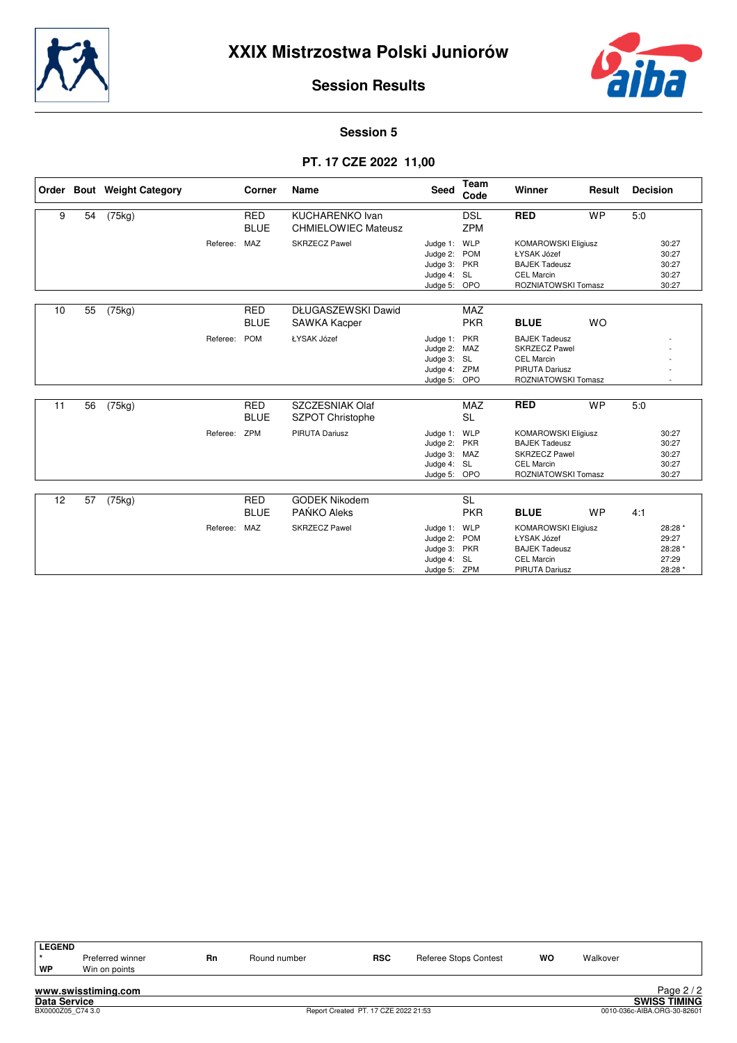



#### **Session 5**

## **PT. 17 CZE 2022 11,00**

|    |    | Order Bout Weight Category |              | Corner                    | Name                                                 | <b>Seed</b>                                                             | Team<br>Code                  | Winner                                                                                                                 | Result    | <b>Decision</b> |                                                 |
|----|----|----------------------------|--------------|---------------------------|------------------------------------------------------|-------------------------------------------------------------------------|-------------------------------|------------------------------------------------------------------------------------------------------------------------|-----------|-----------------|-------------------------------------------------|
| 9  | 54 | (75kg)                     |              | <b>RED</b><br><b>BLUE</b> | <b>KUCHARENKO Ivan</b><br><b>CHMIELOWIEC Mateusz</b> |                                                                         | <b>DSL</b><br><b>ZPM</b>      | <b>RED</b>                                                                                                             | <b>WP</b> | 5.0             |                                                 |
|    |    |                            | Referee:     | MAZ                       | <b>SKRZECZ Pawel</b>                                 | Judge 1:<br>Judge 2: POM<br>Judge 3: PKR<br>Judge 4: SL<br>Judge 5: OPO | WLP                           | <b>KOMAROWSKI Eligiusz</b><br>ŁYSAK Józef<br><b>BAJEK Tadeusz</b><br><b>CEL Marcin</b><br>ROZNIATOWSKI Tomasz          |           |                 | 30:27<br>30:27<br>30:27<br>30:27<br>30:27       |
| 10 | 55 | (75kg)                     |              | <b>RED</b><br><b>BLUE</b> | DŁUGASZEWSKI Dawid<br><b>SAWKA Kacper</b>            |                                                                         | <b>MAZ</b><br><b>PKR</b>      | <b>BLUE</b>                                                                                                            | <b>WO</b> |                 |                                                 |
|    |    |                            | Referee:     | <b>POM</b>                | ŁYSAK Józef                                          | Judge 1: PKR<br>Judge 2: MAZ<br>Judge 3: SL<br>Judge 4:<br>Judge 5: OPO | ZPM                           | <b>BAJEK Tadeusz</b><br><b>SKRZECZ Pawel</b><br><b>CEL Marcin</b><br><b>PIRUTA Dariusz</b><br>ROZNIATOWSKI Tomasz      |           |                 |                                                 |
| 11 | 56 | (75kg)                     |              | <b>RED</b><br><b>BLUE</b> | SZCZESNIAK Olaf<br><b>SZPOT Christophe</b>           |                                                                         | <b>MAZ</b><br><b>SL</b>       | <b>RED</b>                                                                                                             | <b>WP</b> | 5:0             |                                                 |
|    |    |                            | Referee: ZPM |                           | PIRUTA Dariusz                                       | Judge 1: WLP<br>Judge 2: PKR<br>Judge 3:<br>Judge 4: SL<br>Judge 5: OPO | MAZ                           | <b>KOMAROWSKI Eligiusz</b><br><b>BAJEK Tadeusz</b><br><b>SKRZECZ Pawel</b><br><b>CEL Marcin</b><br>ROZNIATOWSKI Tomasz |           |                 | 30:27<br>30:27<br>30:27<br>30:27<br>30:27       |
|    |    |                            |              |                           |                                                      |                                                                         |                               |                                                                                                                        |           |                 |                                                 |
| 12 | 57 | (75kg)                     |              | <b>RED</b><br><b>BLUE</b> | <b>GODEK Nikodem</b><br>PAŃKO Aleks                  |                                                                         | $\overline{SL}$<br><b>PKR</b> | <b>BLUE</b>                                                                                                            | <b>WP</b> | 4:1             |                                                 |
|    |    |                            | Referee:     | MAZ                       | <b>SKRZECZ Pawel</b>                                 | Judge 1:<br>Judge 2: POM<br>Judge 3: PKR<br>Judge 4: SL<br>Judge 5: ZPM | WLP                           | <b>KOMAROWSKI Eligiusz</b><br>ŁYSAK Józef<br><b>BAJEK Tadeusz</b><br><b>CEL Marcin</b><br><b>PIRUTA Dariusz</b>        |           |                 | 28:28 *<br>29:27<br>28:28 *<br>27:29<br>28:28 * |

| <b>LEGEND</b><br>WP | Preferred winner<br>Win on points | Rn | Round number | <b>RSC</b> | Referee Stops Contest | <b>WO</b> | Walkover |            |
|---------------------|-----------------------------------|----|--------------|------------|-----------------------|-----------|----------|------------|
|                     | www.swisstiming.com               |    |              |            |                       |           |          | Page $2/2$ |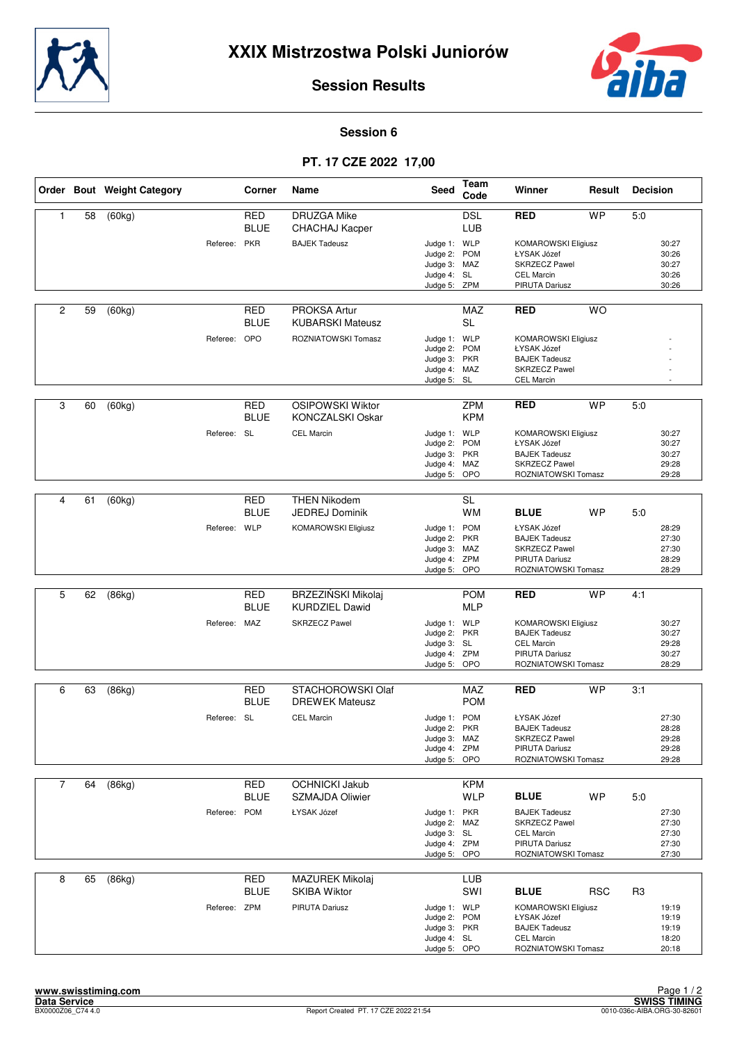



#### **Session 6**

## **PT. 17 CZE 2022 17,00**

|                |    | Order Bout Weight Category |              | Corner                    | Name                                          | <b>Seed</b>                                                                  | Team<br>Code             | Winner                                                                                                            | Result     | <b>Decision</b> |                                           |
|----------------|----|----------------------------|--------------|---------------------------|-----------------------------------------------|------------------------------------------------------------------------------|--------------------------|-------------------------------------------------------------------------------------------------------------------|------------|-----------------|-------------------------------------------|
| 1              | 58 | (60kg)                     |              | RED<br><b>BLUE</b>        | <b>DRUZGA Mike</b><br>CHACHAJ Kacper          |                                                                              | <b>DSL</b><br>LUB        | <b>RED</b>                                                                                                        | <b>WP</b>  | 5:0             |                                           |
|                |    |                            | Referee: PKR |                           | <b>BAJEK Tadeusz</b>                          | Judge 1: WLP<br>Judge 2: POM<br>Judge 3: MAZ<br>Judge 4: SL<br>Judge 5: ZPM  |                          | <b>KOMAROWSKI Eligiusz</b><br>ŁYSAK Józef<br><b>SKRZECZ Pawel</b><br><b>CEL Marcin</b><br>PIRUTA Dariusz          |            |                 | 30:27<br>30:26<br>30:27<br>30:26<br>30:26 |
| $\overline{c}$ | 59 | (60kg)                     |              | RED<br><b>BLUE</b>        | PROKSA Artur<br><b>KUBARSKI Mateusz</b>       |                                                                              | <b>MAZ</b><br><b>SL</b>  | <b>RED</b>                                                                                                        | <b>WO</b>  |                 |                                           |
|                |    |                            | Referee: OPO |                           | ROZNIATOWSKI Tomasz                           | Judge 1: WLP<br>Judge 2: POM<br>Judge 3: PKR<br>Judge 4: MAZ<br>Judge 5: SL  |                          | <b>KOMAROWSKI Eligiusz</b><br>ŁYSAK Józef<br><b>BAJEK Tadeusz</b><br><b>SKRZECZ Pawel</b><br><b>CEL Marcin</b>    |            |                 |                                           |
| 3              | 60 | (60kg)                     |              | <b>RED</b><br><b>BLUE</b> | OSIPOWSKI Wiktor<br>KONCZALSKI Oskar          |                                                                              | <b>ZPM</b><br><b>KPM</b> | <b>RED</b>                                                                                                        | <b>WP</b>  | 5:0             |                                           |
|                |    |                            | Referee: SL  |                           | <b>CEL Marcin</b>                             | Judge 1: WLP<br>Judge 2: POM<br>Judge 3: PKR<br>Judge 4: MAZ<br>Judge 5: OPO |                          | <b>KOMAROWSKI Eligiusz</b><br>ŁYSAK Józef<br><b>BAJEK Tadeusz</b><br><b>SKRZECZ Pawel</b><br>ROZNIATOWSKI Tomasz  |            |                 | 30:27<br>30:27<br>30:27<br>29:28<br>29:28 |
| 4              | 61 | (60kg)                     |              | <b>RED</b>                | <b>THEN Nikodem</b>                           |                                                                              | SL                       |                                                                                                                   |            |                 |                                           |
|                |    |                            |              | <b>BLUE</b>               | <b>JEDREJ Dominik</b>                         |                                                                              | <b>WM</b>                | <b>BLUE</b>                                                                                                       | <b>WP</b>  | 5:0             |                                           |
|                |    |                            | Referee: WLP |                           | KOMAROWSKI Eligiusz                           | Judge 1: POM<br>Judge 2: PKR<br>Judge 3: MAZ<br>Judge 4: ZPM<br>Judge 5: OPO |                          | ŁYSAK Józef<br><b>BAJEK Tadeusz</b><br><b>SKRZECZ Pawel</b><br>PIRUTA Dariusz<br>ROZNIATOWSKI Tomasz              |            |                 | 28:29<br>27:30<br>27:30<br>28:29<br>28:29 |
|                |    |                            |              |                           |                                               |                                                                              |                          |                                                                                                                   |            |                 |                                           |
| 5              | 62 | (86kg)                     |              | <b>RED</b><br><b>BLUE</b> | BRZEZIŃSKI Mikolaj<br><b>KURDZIEL Dawid</b>   |                                                                              | <b>POM</b><br><b>MLP</b> | <b>RED</b>                                                                                                        | <b>WP</b>  | 4:1             |                                           |
|                |    |                            | Referee: MAZ |                           | <b>SKRZECZ Pawel</b>                          | Judge 1: WLP<br>Judge 2: PKR<br>Judge 3: SL<br>Judge 4: ZPM<br>Judge 5: OPO  |                          | <b>KOMAROWSKI Eligiusz</b><br><b>BAJEK Tadeusz</b><br><b>CEL Marcin</b><br>PIRUTA Dariusz<br>ROZNIATOWSKI Tomasz  |            |                 | 30:27<br>30:27<br>29:28<br>30:27<br>28:29 |
| 6              | 63 | (86kg)                     |              | RED<br><b>BLUE</b>        | STACHOROWSKI Olaf<br><b>DREWEK Mateusz</b>    |                                                                              | MAZ<br><b>POM</b>        | <b>RED</b>                                                                                                        | <b>WP</b>  | 3:1             |                                           |
|                |    |                            | Referee: SL  |                           | <b>CEL Marcin</b>                             | Judge 1: POM<br>Judge 2: PKR<br>Judge 3: MAZ<br>Judge 4: ZPM<br>Judge 5: OPO |                          | ŁYSAK Józef<br><b>BAJEK Tadeusz</b><br><b>SKRZECZ Pawel</b><br>PIRUTA Dariusz<br>ROZNIATOWSKI Tomasz              |            |                 | 27:30<br>28:28<br>29:28<br>29:28<br>29:28 |
| $\overline{7}$ | 64 | (86kg)                     |              | <b>RED</b>                | <b>OCHNICKI Jakub</b>                         |                                                                              | <b>KPM</b>               |                                                                                                                   |            |                 |                                           |
|                |    |                            |              | <b>BLUE</b>               | SZMAJDA Oliwier                               |                                                                              | <b>WLP</b>               | <b>BLUE</b>                                                                                                       | WP         | 5:0             |                                           |
|                |    |                            | Referee: POM |                           | ŁYSAK Józef                                   | Judge 1: PKR<br>Judge 2: MAZ<br>Judge 3: SL<br>Judge 4: ZPM<br>Judge 5: OPO  |                          | <b>BAJEK Tadeusz</b><br><b>SKRZECZ Pawel</b><br><b>CEL Marcin</b><br><b>PIRUTA Dariusz</b><br>ROZNIATOWSKI Tomasz |            |                 | 27:30<br>27:30<br>27:30<br>27:30<br>27:30 |
| 8              | 65 | (86kg)                     |              | <b>RED</b><br><b>BLUE</b> | <b>MAZUREK Mikolaj</b><br><b>SKIBA Wiktor</b> |                                                                              | <b>LUB</b><br>SWI        | <b>BLUE</b>                                                                                                       | <b>RSC</b> | R3              |                                           |
|                |    |                            | Referee: ZPM |                           | PIRUTA Dariusz                                | Judge 1: WLP<br>Judge 2: POM<br>Judge 3: PKR<br>Judge 4: SL<br>Judge 5: OPO  |                          | <b>KOMAROWSKI Eligiusz</b><br>ŁYSAK Józef<br><b>BAJEK Tadeusz</b><br><b>CEL Marcin</b><br>ROZNIATOWSKI Tomasz     |            |                 | 19:19<br>19:19<br>19:19<br>18:20<br>20:18 |